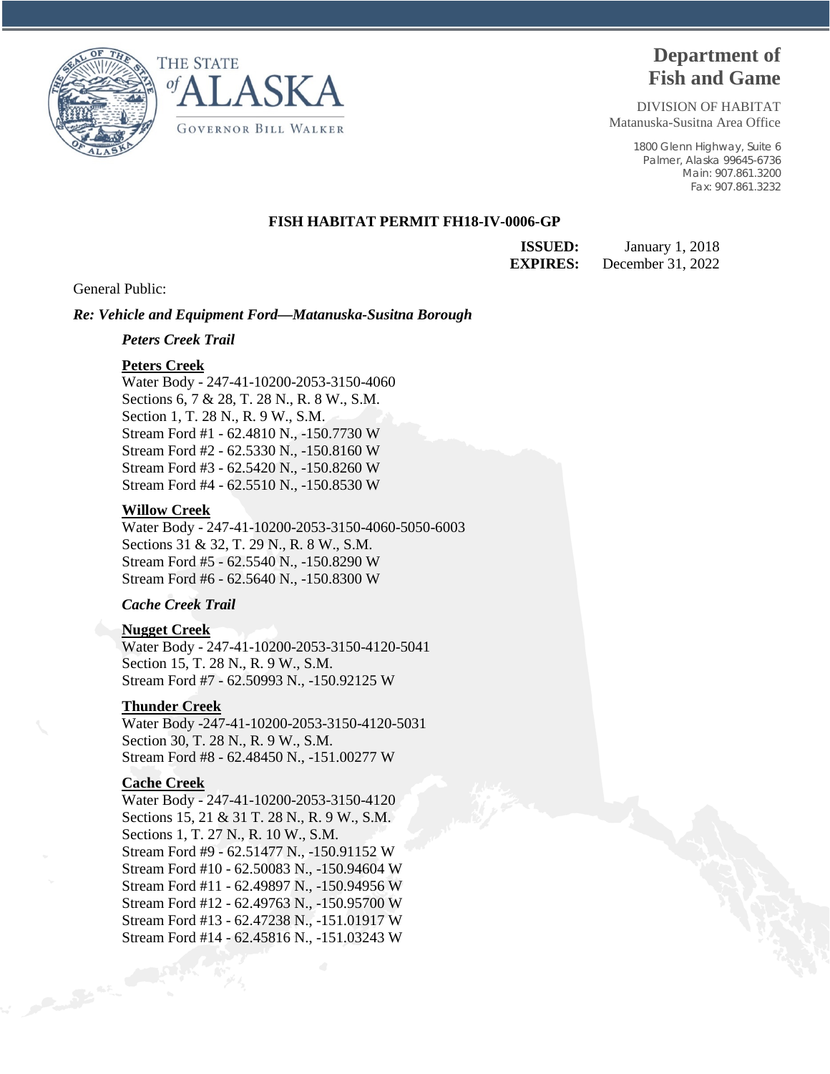



# **Department of Fish and Game**

DIVISION OF HABITAT Matanuska-Susitna Area Office

> 1800 Glenn Highway, Suite 6 Palmer, Alaska 99645-6736 Main: 907.861.3200 Fax: 907.861.3232

## **FISH HABITAT PERMIT FH18-IV-0006-GP**

**ISSUED:** January 1, 2018 **EXPIRES:** December 31, 2022

General Public:

### *Re: Vehicle and Equipment Ford—Matanuska-Susitna Borough*

#### *Peters Creek Trail*

### **Peters Creek**

Water Body - 247-41-10200-2053-3150-4060 Sections 6, 7 & 28, T. 28 N., R. 8 W., S.M. Section 1, T. 28 N., R. 9 W., S.M. Stream Ford #1 - 62.4810 N., -150.7730 W Stream Ford #2 - 62.5330 N., -150.8160 W Stream Ford #3 - 62.5420 N., -150.8260 W Stream Ford #4 - 62.5510 N., -150.8530 W

#### **Willow Creek**

Water Body - 247-41-10200-2053-3150-4060-5050-6003 Sections 31 & 32, T. 29 N., R. 8 W., S.M. Stream Ford #5 - 62.5540 N., -150.8290 W Stream Ford #6 - 62.5640 N., -150.8300 W

# *Cache Creek Trail*

## **Nugget Creek**

Water Body - 247-41-10200-2053-3150-4120-5041 Section 15, T. 28 N., R. 9 W., S.M. Stream Ford #7 - 62.50993 N., -150.92125 W

## **Thunder Creek**

Water Body -247-41-10200-2053-3150-4120-5031 Section 30, T. 28 N., R. 9 W., S.M. Stream Ford #8 - 62.48450 N., -151.00277 W

## **Cache Creek**

Water Body - 247-41-10200-2053-3150-4120 Sections 15, 21 & 31 T. 28 N., R. 9 W., S.M. Sections 1, T. 27 N., R. 10 W., S.M. Stream Ford #9 - 62.51477 N., -150.91152 W Stream Ford #10 - 62.50083 N., -150.94604 W Stream Ford #11 - 62.49897 N., -150.94956 W Stream Ford #12 - 62.49763 N., -150.95700 W Stream Ford #13 - 62.47238 N., -151.01917 W Stream Ford #14 - 62.45816 N., -151.03243 W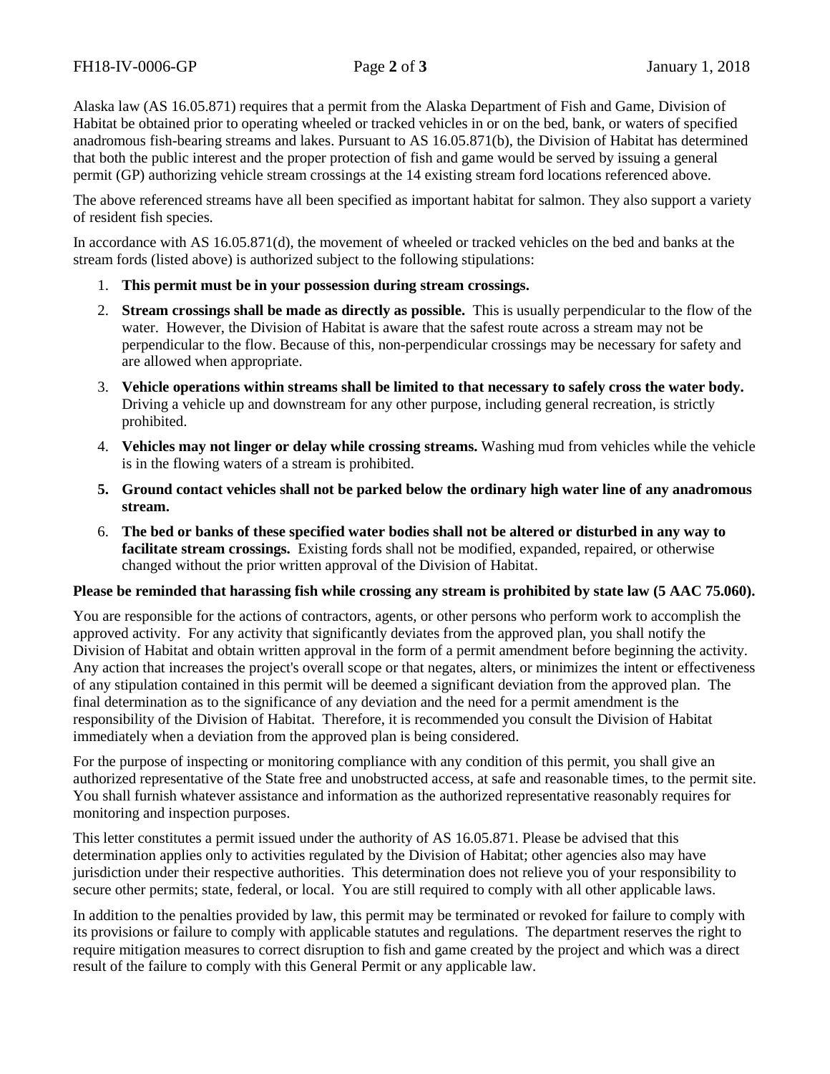Alaska law (AS 16.05.871) requires that a permit from the Alaska Department of Fish and Game, Division of Habitat be obtained prior to operating wheeled or tracked vehicles in or on the bed, bank, or waters of specified anadromous fish-bearing streams and lakes. Pursuant to AS 16.05.871(b), the Division of Habitat has determined that both the public interest and the proper protection of fish and game would be served by issuing a general permit (GP) authorizing vehicle stream crossings at the 14 existing stream ford locations referenced above.

The above referenced streams have all been specified as important habitat for salmon. They also support a variety of resident fish species.

In accordance with AS 16.05.871(d), the movement of wheeled or tracked vehicles on the bed and banks at the stream fords (listed above) is authorized subject to the following stipulations:

- 1. **This permit must be in your possession during stream crossings.**
- 2. **Stream crossings shall be made as directly as possible.** This is usually perpendicular to the flow of the water. However, the Division of Habitat is aware that the safest route across a stream may not be perpendicular to the flow. Because of this, non-perpendicular crossings may be necessary for safety and are allowed when appropriate.
- 3. **Vehicle operations within streams shall be limited to that necessary to safely cross the water body.** Driving a vehicle up and downstream for any other purpose, including general recreation, is strictly prohibited.
- 4. **Vehicles may not linger or delay while crossing streams.** Washing mud from vehicles while the vehicle is in the flowing waters of a stream is prohibited.
- **5. Ground contact vehicles shall not be parked below the ordinary high water line of any anadromous stream.**
- 6. **The bed or banks of these specified water bodies shall not be altered or disturbed in any way to facilitate stream crossings.** Existing fords shall not be modified, expanded, repaired, or otherwise changed without the prior written approval of the Division of Habitat.

# **Please be reminded that harassing fish while crossing any stream is prohibited by state law (5 AAC 75.060).**

You are responsible for the actions of contractors, agents, or other persons who perform work to accomplish the approved activity. For any activity that significantly deviates from the approved plan, you shall notify the Division of Habitat and obtain written approval in the form of a permit amendment before beginning the activity. Any action that increases the project's overall scope or that negates, alters, or minimizes the intent or effectiveness of any stipulation contained in this permit will be deemed a significant deviation from the approved plan. The final determination as to the significance of any deviation and the need for a permit amendment is the responsibility of the Division of Habitat. Therefore, it is recommended you consult the Division of Habitat immediately when a deviation from the approved plan is being considered.

For the purpose of inspecting or monitoring compliance with any condition of this permit, you shall give an authorized representative of the State free and unobstructed access, at safe and reasonable times, to the permit site. You shall furnish whatever assistance and information as the authorized representative reasonably requires for monitoring and inspection purposes.

This letter constitutes a permit issued under the authority of AS 16.05.871. Please be advised that this determination applies only to activities regulated by the Division of Habitat; other agencies also may have jurisdiction under their respective authorities. This determination does not relieve you of your responsibility to secure other permits; state, federal, or local. You are still required to comply with all other applicable laws.

In addition to the penalties provided by law, this permit may be terminated or revoked for failure to comply with its provisions or failure to comply with applicable statutes and regulations. The department reserves the right to require mitigation measures to correct disruption to fish and game created by the project and which was a direct result of the failure to comply with this General Permit or any applicable law.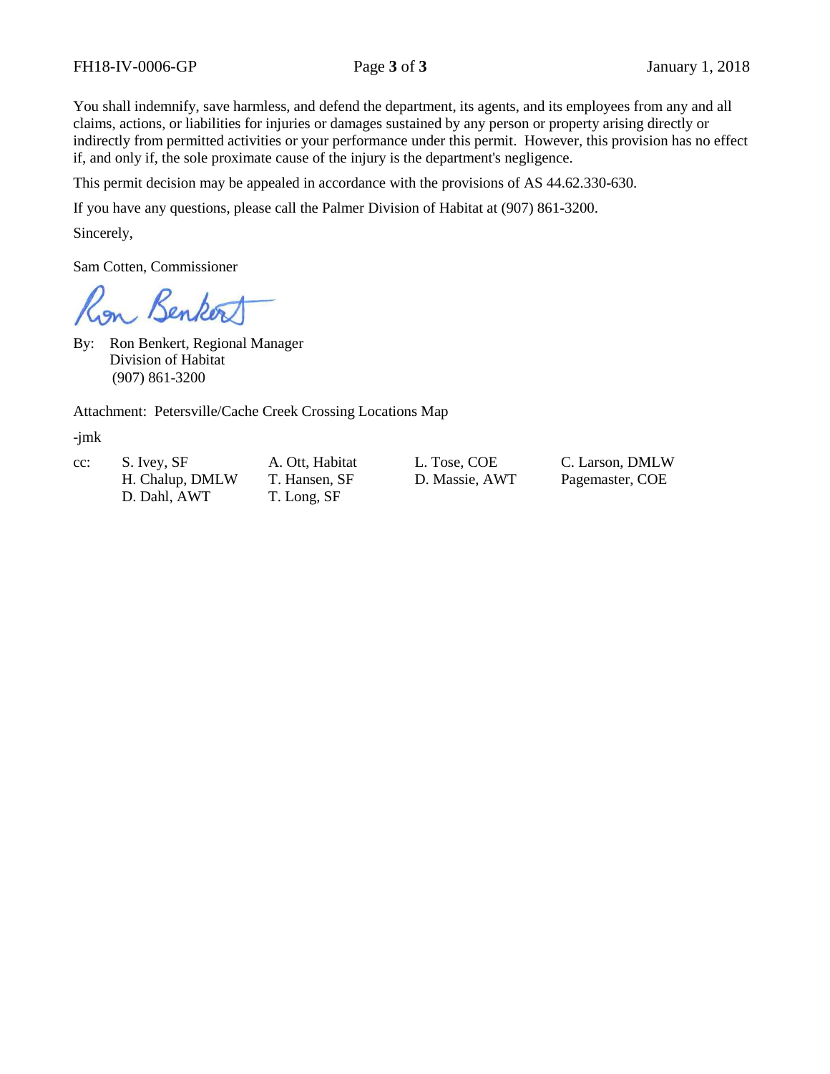You shall indemnify, save harmless, and defend the department, its agents, and its employees from any and all claims, actions, or liabilities for injuries or damages sustained by any person or property arising directly or indirectly from permitted activities or your performance under this permit. However, this provision has no effect if, and only if, the sole proximate cause of the injury is the department's negligence.

This permit decision may be appealed in accordance with the provisions of AS 44.62.330-630.

If you have any questions, please call the Palmer Division of Habitat at (907) 861-3200.

Sincerely,

Sam Cotten, Commissioner

Benker

By: Ron Benkert, Regional Manager Division of Habitat (907) 861-3200

Attachment: Petersville/Cache Creek Crossing Locations Map

-jmk

cc: S. Ivey, SF A. Ott, Habitat L. Tose, COE C. Larson, DMLW

D. Dahl, AWT T. Long, SF

H. Chalup, DMLW T. Hansen, SF D. Massie, AWT Pagemaster, COE